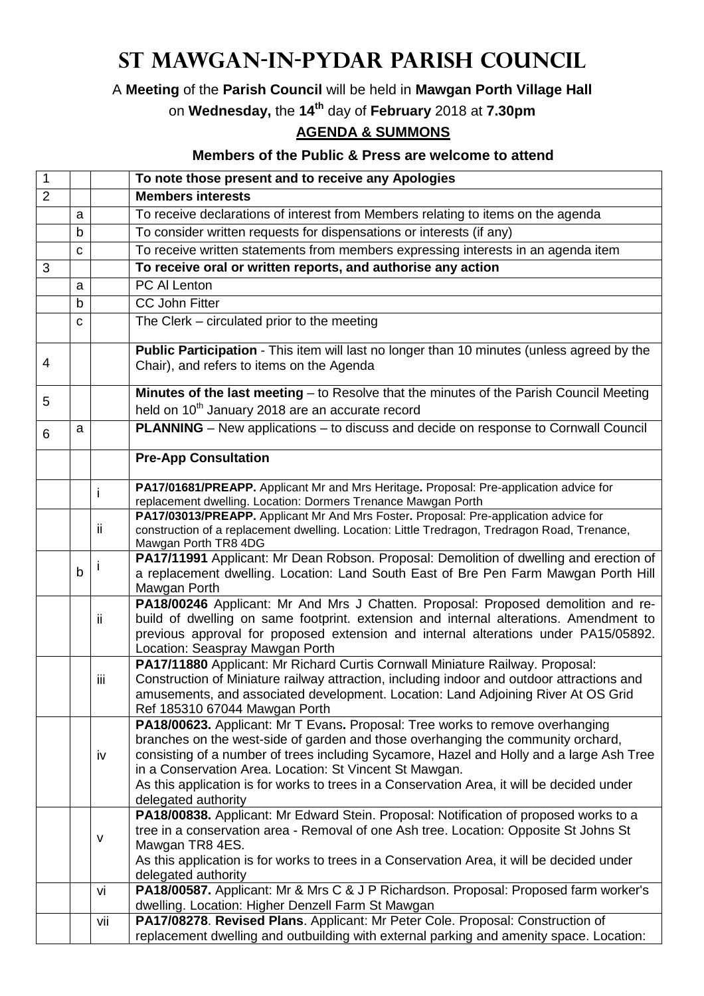## **St Mawgan-in-Pydar Parish Council**

A **Meeting** of the **Parish Council** will be held in **Mawgan Porth Village Hall**

on **Wednesday,** the **14th** day of **February** 2018 at **7.30pm**

## **AGENDA & SUMMONS**

## **Members of the Public & Press are welcome to attend**

| $\mathbf{1}$   |   |      | To note those present and to receive any Apologies                                                                                                                              |
|----------------|---|------|---------------------------------------------------------------------------------------------------------------------------------------------------------------------------------|
| $\overline{2}$ |   |      | <b>Members interests</b>                                                                                                                                                        |
|                | a |      | To receive declarations of interest from Members relating to items on the agenda                                                                                                |
|                | b |      | To consider written requests for dispensations or interests (if any)                                                                                                            |
|                | C |      | To receive written statements from members expressing interests in an agenda item                                                                                               |
| 3              |   |      | To receive oral or written reports, and authorise any action                                                                                                                    |
|                | a |      | PC Al Lenton                                                                                                                                                                    |
|                | b |      | <b>CC John Fitter</b>                                                                                                                                                           |
|                |   |      |                                                                                                                                                                                 |
|                | C |      | The Clerk – circulated prior to the meeting                                                                                                                                     |
| 4              |   |      | Public Participation - This item will last no longer than 10 minutes (unless agreed by the<br>Chair), and refers to items on the Agenda                                         |
| 5              |   |      | Minutes of the last meeting - to Resolve that the minutes of the Parish Council Meeting                                                                                         |
|                |   |      | held on 10 <sup>th</sup> January 2018 are an accurate record                                                                                                                    |
| 6              | a |      | PLANNING - New applications - to discuss and decide on response to Cornwall Council                                                                                             |
|                |   |      | <b>Pre-App Consultation</b>                                                                                                                                                     |
|                |   |      | PA17/01681/PREAPP. Applicant Mr and Mrs Heritage. Proposal: Pre-application advice for                                                                                          |
|                |   |      | replacement dwelling. Location: Dormers Trenance Mawgan Porth                                                                                                                   |
|                |   |      | PA17/03013/PREAPP. Applicant Mr And Mrs Foster. Proposal: Pre-application advice for                                                                                            |
|                |   | ii.  | construction of a replacement dwelling. Location: Little Tredragon, Tredragon Road, Trenance,<br>Mawgan Porth TR8 4DG                                                           |
|                |   |      | PA17/11991 Applicant: Mr Dean Robson. Proposal: Demolition of dwelling and erection of                                                                                          |
|                | b |      | a replacement dwelling. Location: Land South East of Bre Pen Farm Mawgan Porth Hill                                                                                             |
|                |   |      | Mawgan Porth                                                                                                                                                                    |
|                |   |      | PA18/00246 Applicant: Mr And Mrs J Chatten. Proposal: Proposed demolition and re-                                                                                               |
|                |   | ii   | build of dwelling on same footprint. extension and internal alterations. Amendment to                                                                                           |
|                |   |      | previous approval for proposed extension and internal alterations under PA15/05892.                                                                                             |
|                |   |      | Location: Seaspray Mawgan Porth                                                                                                                                                 |
|                |   |      | PA17/11880 Applicant: Mr Richard Curtis Cornwall Miniature Railway. Proposal:                                                                                                   |
|                |   | iii. | Construction of Miniature railway attraction, including indoor and outdoor attractions and<br>amusements, and associated development. Location: Land Adjoining River At OS Grid |
|                |   |      | Ref 185310 67044 Mawgan Porth                                                                                                                                                   |
|                |   |      | PA18/00623. Applicant: Mr T Evans. Proposal: Tree works to remove overhanging                                                                                                   |
|                |   |      | branches on the west-side of garden and those overhanging the community orchard,                                                                                                |
|                |   | iv   | consisting of a number of trees including Sycamore, Hazel and Holly and a large Ash Tree                                                                                        |
|                |   |      | in a Conservation Area. Location: St Vincent St Mawgan.                                                                                                                         |
|                |   |      | As this application is for works to trees in a Conservation Area, it will be decided under                                                                                      |
|                |   |      | delegated authority                                                                                                                                                             |
|                |   |      | PA18/00838. Applicant: Mr Edward Stein. Proposal: Notification of proposed works to a                                                                                           |
|                |   | v    | tree in a conservation area - Removal of one Ash tree. Location: Opposite St Johns St<br>Mawgan TR8 4ES.                                                                        |
|                |   |      | As this application is for works to trees in a Conservation Area, it will be decided under                                                                                      |
|                |   |      | delegated authority                                                                                                                                                             |
|                |   | vi   | PA18/00587. Applicant: Mr & Mrs C & J P Richardson. Proposal: Proposed farm worker's                                                                                            |
|                |   |      | dwelling. Location: Higher Denzell Farm St Mawgan                                                                                                                               |
|                |   | vii  | PA17/08278. Revised Plans. Applicant: Mr Peter Cole. Proposal: Construction of                                                                                                  |
|                |   |      | replacement dwelling and outbuilding with external parking and amenity space. Location:                                                                                         |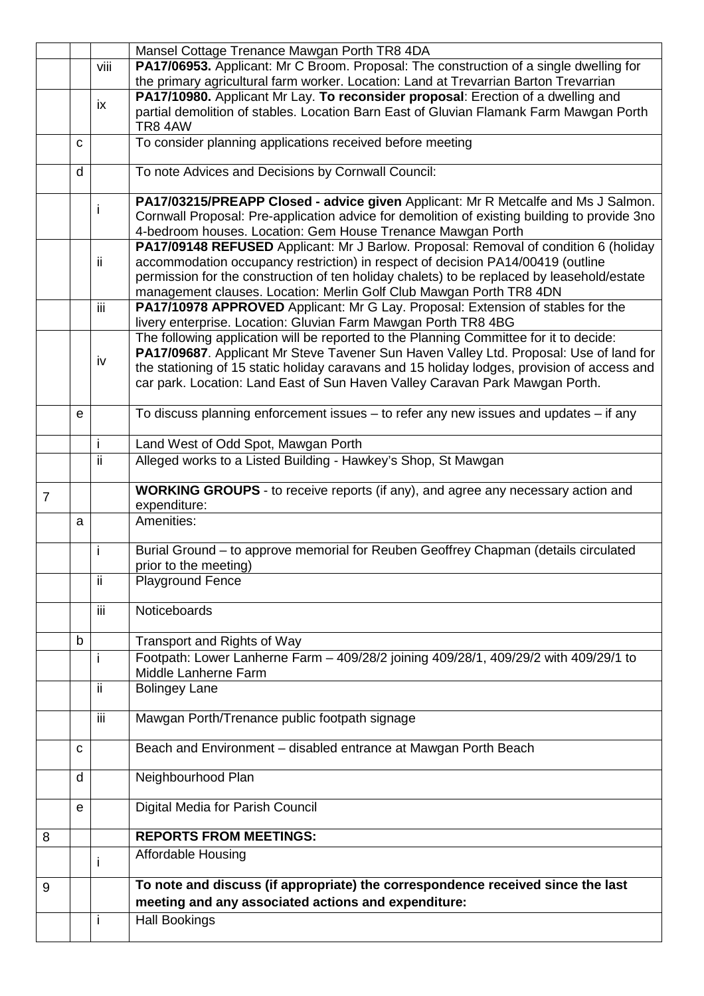|                |             | I.      | <b>Hall Bookings</b>                                                                                                                                                                  |
|----------------|-------------|---------|---------------------------------------------------------------------------------------------------------------------------------------------------------------------------------------|
|                |             |         | meeting and any associated actions and expenditure:                                                                                                                                   |
| 9              |             |         | To note and discuss (if appropriate) the correspondence received since the last                                                                                                       |
|                |             | I.      | Affordable Housing                                                                                                                                                                    |
| 8              |             |         | <b>REPORTS FROM MEETINGS:</b>                                                                                                                                                         |
|                |             |         |                                                                                                                                                                                       |
|                | e           |         | Digital Media for Parish Council                                                                                                                                                      |
|                | d           |         | Neighbourhood Plan                                                                                                                                                                    |
|                | C           |         | Beach and Environment - disabled entrance at Mawgan Porth Beach                                                                                                                       |
|                |             | iii     | Mawgan Porth/Trenance public footpath signage                                                                                                                                         |
|                |             | ii.     | <b>Bolingey Lane</b>                                                                                                                                                                  |
|                |             | j.      | Footpath: Lower Lanherne Farm - 409/28/2 joining 409/28/1, 409/29/2 with 409/29/1 to<br>Middle Lanherne Farm                                                                          |
|                | $\mathbf b$ |         | Transport and Rights of Way                                                                                                                                                           |
|                |             | iii.    | Noticeboards                                                                                                                                                                          |
|                |             | ij.     | <b>Playground Fence</b>                                                                                                                                                               |
|                |             | İ       | Burial Ground - to approve memorial for Reuben Geoffrey Chapman (details circulated<br>prior to the meeting)                                                                          |
|                | a           |         | Amenities:                                                                                                                                                                            |
| $\overline{7}$ |             |         | <b>WORKING GROUPS</b> - to receive reports (if any), and agree any necessary action and<br>expenditure:                                                                               |
|                |             |         |                                                                                                                                                                                       |
|                |             | i<br>ii | Land West of Odd Spot, Mawgan Porth<br>Alleged works to a Listed Building - Hawkey's Shop, St Mawgan                                                                                  |
|                | e           |         | To discuss planning enforcement issues $-$ to refer any new issues and updates $-$ if any                                                                                             |
|                |             |         | car park. Location: Land East of Sun Haven Valley Caravan Park Mawgan Porth.                                                                                                          |
|                |             | iv      | PA17/09687. Applicant Mr Steve Tavener Sun Haven Valley Ltd. Proposal: Use of land for<br>the stationing of 15 static holiday caravans and 15 holiday lodges, provision of access and |
|                |             |         | The following application will be reported to the Planning Committee for it to decide:                                                                                                |
|                |             | iii     | PA17/10978 APPROVED Applicant: Mr G Lay. Proposal: Extension of stables for the<br>livery enterprise. Location: Gluvian Farm Mawgan Porth TR8 4BG                                     |
|                |             |         | permission for the construction of ten holiday chalets) to be replaced by leasehold/estate<br>management clauses. Location: Merlin Golf Club Mawgan Porth TR8 4DN                     |
|                |             | ii.     | PA17/09148 REFUSED Applicant: Mr J Barlow. Proposal: Removal of condition 6 (holiday<br>accommodation occupancy restriction) in respect of decision PA14/00419 (outline               |
|                |             |         | 4-bedroom houses. Location: Gem House Trenance Mawgan Porth                                                                                                                           |
|                |             | i       | PA17/03215/PREAPP Closed - advice given Applicant: Mr R Metcalfe and Ms J Salmon.<br>Cornwall Proposal: Pre-application advice for demolition of existing building to provide 3no     |
|                | d           |         | To note Advices and Decisions by Cornwall Council:                                                                                                                                    |
|                | C           |         | To consider planning applications received before meeting                                                                                                                             |
|                |             |         | partial demolition of stables. Location Barn East of Gluvian Flamank Farm Mawgan Porth<br>TR8 4AW                                                                                     |
|                |             | ix      | PA17/10980. Applicant Mr Lay. To reconsider proposal: Erection of a dwelling and                                                                                                      |
|                |             | viii    | PA17/06953. Applicant: Mr C Broom. Proposal: The construction of a single dwelling for<br>the primary agricultural farm worker. Location: Land at Trevarrian Barton Trevarrian        |
|                |             |         | Mansel Cottage Trenance Mawgan Porth TR8 4DA                                                                                                                                          |